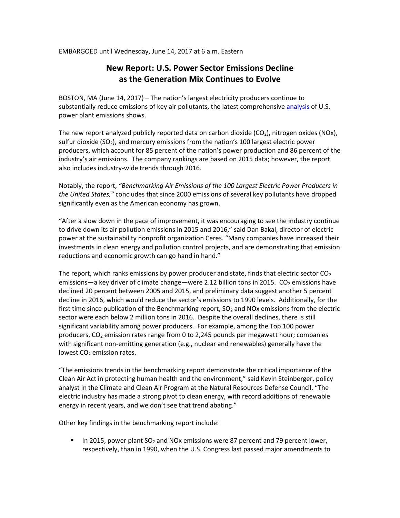EMBARGOED until Wednesday, June 14, 2017 at 6 a.m. Eastern

# **New Report: U.S. Power Sector Emissions Decline as the Generation Mix Continues to Evolve**

BOSTON, MA (June 14, 2017) – The nation's largest electricity producers continue to substantially reduce emissions of key air pollutants, the latest comprehensiv[e analysis](http://mjbradley.com/benchmarking-air-emissions) of U.S. power plant emissions shows.

The new report analyzed publicly reported data on carbon dioxide  $(CO<sub>2</sub>)$ , nitrogen oxides  $(NOx)$ , sulfur dioxide  $(SO<sub>2</sub>)$ , and mercury emissions from the nation's 100 largest electric power producers, which account for 85 percent of the nation's power production and 86 percent of the industry's air emissions. The company rankings are based on 2015 data; however, the report also includes industry-wide trends through 2016.

Notably, the report, *"Benchmarking Air Emissions of the 100 Largest Electric Power Producers in the United States,"* concludes that since 2000 emissions of several key pollutants have dropped significantly even as the American economy has grown.

"After a slow down in the pace of improvement, it was encouraging to see the industry continue to drive down its air pollution emissions in 2015 and 2016," said Dan Bakal, director of electric power at the sustainability nonprofit organization Ceres. "Many companies have increased their investments in clean energy and pollution control projects, and are demonstrating that emission reductions and economic growth can go hand in hand."

The report, which ranks emissions by power producer and state, finds that electric sector  $CO<sub>2</sub>$ emissions—a key driver of climate change—were 2.12 billion tons in 2015.  $CO<sub>2</sub>$  emissions have declined 20 percent between 2005 and 2015, and preliminary data suggest another 5 percent decline in 2016, which would reduce the sector's emissions to 1990 levels. Additionally, for the first time since publication of the Benchmarking report,  $SO<sub>2</sub>$  and NOx emissions from the electric sector were each below 2 million tons in 2016. Despite the overall declines, there is still significant variability among power producers. For example, among the Top 100 power producers,  $CO<sub>2</sub>$  emission rates range from 0 to 2,245 pounds per megawatt hour; companies with significant non-emitting generation (e.g., nuclear and renewables) generally have the lowest CO<sub>2</sub> emission rates.

"The emissions trends in the benchmarking report demonstrate the critical importance of the Clean Air Act in protecting human health and the environment," said Kevin Steinberger, policy analyst in the Climate and Clean Air Program at the Natural Resources Defense Council. "The electric industry has made a strong pivot to clean energy, with record additions of renewable energy in recent years, and we don't see that trend abating."

Other key findings in the benchmarking report include:

In 2015, power plant  $SO<sub>2</sub>$  and NOx emissions were 87 percent and 79 percent lower, respectively, than in 1990, when the U.S. Congress last passed major amendments to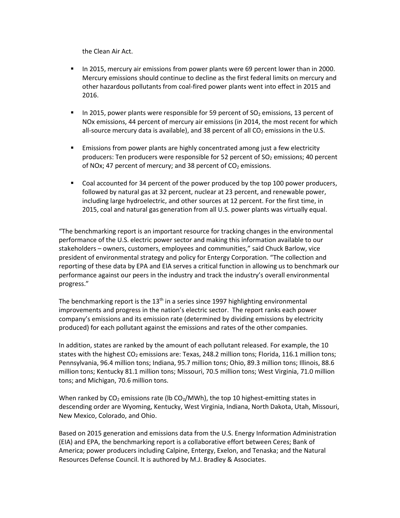the Clean Air Act.

- In 2015, mercury air emissions from power plants were 69 percent lower than in 2000. Mercury emissions should continue to decline as the first federal limits on mercury and other hazardous pollutants from coal-fired power plants went into effect in 2015 and 2016.
- In 2015, power plants were responsible for 59 percent of  $SO<sub>2</sub>$  emissions, 13 percent of NOx emissions, 44 percent of mercury air emissions (in 2014, the most recent for which all-source mercury data is available), and 38 percent of all  $CO<sub>2</sub>$  emissions in the U.S.
- **Emissions from power plants are highly concentrated among just a few electricity** producers: Ten producers were responsible for 52 percent of  $SO<sub>2</sub>$  emissions; 40 percent of NOx; 47 percent of mercury; and 38 percent of  $CO<sub>2</sub>$  emissions.
- Coal accounted for 34 percent of the power produced by the top 100 power producers, followed by natural gas at 32 percent, nuclear at 23 percent, and renewable power, including large hydroelectric, and other sources at 12 percent. For the first time, in 2015, coal and natural gas generation from all U.S. power plants was virtually equal.

"The benchmarking report is an important resource for tracking changes in the environmental performance of the U.S. electric power sector and making this information available to our stakeholders – owners, customers, employees and communities," said Chuck Barlow, vice president of environmental strategy and policy for Entergy Corporation. "The collection and reporting of these data by EPA and EIA serves a critical function in allowing us to benchmark our performance against our peers in the industry and track the industry's overall environmental progress."

The benchmarking report is the 13<sup>th</sup> in a series since 1997 highlighting environmental improvements and progress in the nation's electric sector. The report ranks each power company's emissions and its emission rate (determined by dividing emissions by electricity produced) for each pollutant against the emissions and rates of the other companies.

In addition, states are ranked by the amount of each pollutant released. For example, the 10 states with the highest  $CO<sub>2</sub>$  emissions are: Texas, 248.2 million tons; Florida, 116.1 million tons; Pennsylvania, 96.4 million tons; Indiana, 95.7 million tons; Ohio, 89.3 million tons; Illinois, 88.6 million tons; Kentucky 81.1 million tons; Missouri, 70.5 million tons; West Virginia, 71.0 million tons; and Michigan, 70.6 million tons.

When ranked by  $CO<sub>2</sub>$  emissions rate (lb  $CO<sub>2</sub>/MWh$ ), the top 10 highest-emitting states in descending order are Wyoming, Kentucky, West Virginia, Indiana, North Dakota, Utah, Missouri, New Mexico, Colorado, and Ohio.

Based on 2015 generation and emissions data from the U.S. Energy Information Administration (EIA) and EPA, the benchmarking report is a collaborative effort between Ceres; Bank of America; power producers including Calpine, Entergy, Exelon, and Tenaska; and the Natural Resources Defense Council. It is authored by M.J. Bradley & Associates.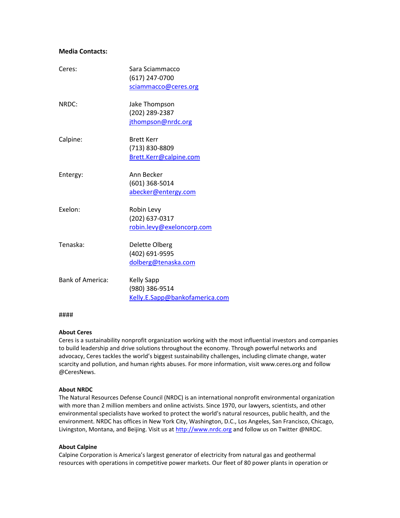## **Media Contacts:**

| Ceres:                  | Sara Sciammacco                |
|-------------------------|--------------------------------|
|                         | (617) 247-0700                 |
|                         | sciammacco@ceres.org           |
| NRDC:                   | Jake Thompson                  |
|                         | (202) 289-2387                 |
|                         | jthompson@nrdc.org             |
| Calpine:                | <b>Brett Kerr</b>              |
|                         | (713) 830-8809                 |
|                         | Brett.Kerr@calpine.com         |
| Entergy:                | Ann Becker                     |
|                         | (601) 368-5014                 |
|                         | abecker@entergy.com            |
| Exelon:                 | Robin Levy                     |
|                         | (202) 637-0317                 |
|                         | robin.levy@exeloncorp.com      |
| Tenaska:                | Delette Olberg                 |
|                         | (402) 691-9595                 |
|                         | dolberg@tenaska.com            |
| <b>Bank of America:</b> | <b>Kelly Sapp</b>              |
|                         | (980) 386-9514                 |
|                         | Kelly.E.Sapp@bankofamerica.com |
|                         |                                |

#### ####

### **About Ceres**

Ceres is a sustainability nonprofit organization working with the most influential investors and companies to build leadership and drive solutions throughout the economy. Through powerful networks and advocacy, Ceres tackles the world's biggest sustainability challenges, including climate change, water scarcity and pollution, and human rights abuses. For more information, visit www.ceres.org and follow @CeresNews.

### **About NRDC**

The Natural Resources Defense Council (NRDC) is an international nonprofit environmental organization with more than 2 million members and online activists. Since 1970, our lawyers, scientists, and other environmental specialists have worked to protect the world's natural resources, public health, and the environment. NRDC has offices in New York City, Washington, D.C., Los Angeles, San Francisco, Chicago, Livingston, Montana, and Beijing. Visit us at [http://www.nrdc.org](http://www.nrdc.org/) and follow us on Twitter @NRDC.

### **About Calpine**

Calpine Corporation is America's largest generator of electricity from natural gas and geothermal resources with operations in competitive power markets. Our fleet of 80 power plants in operation or